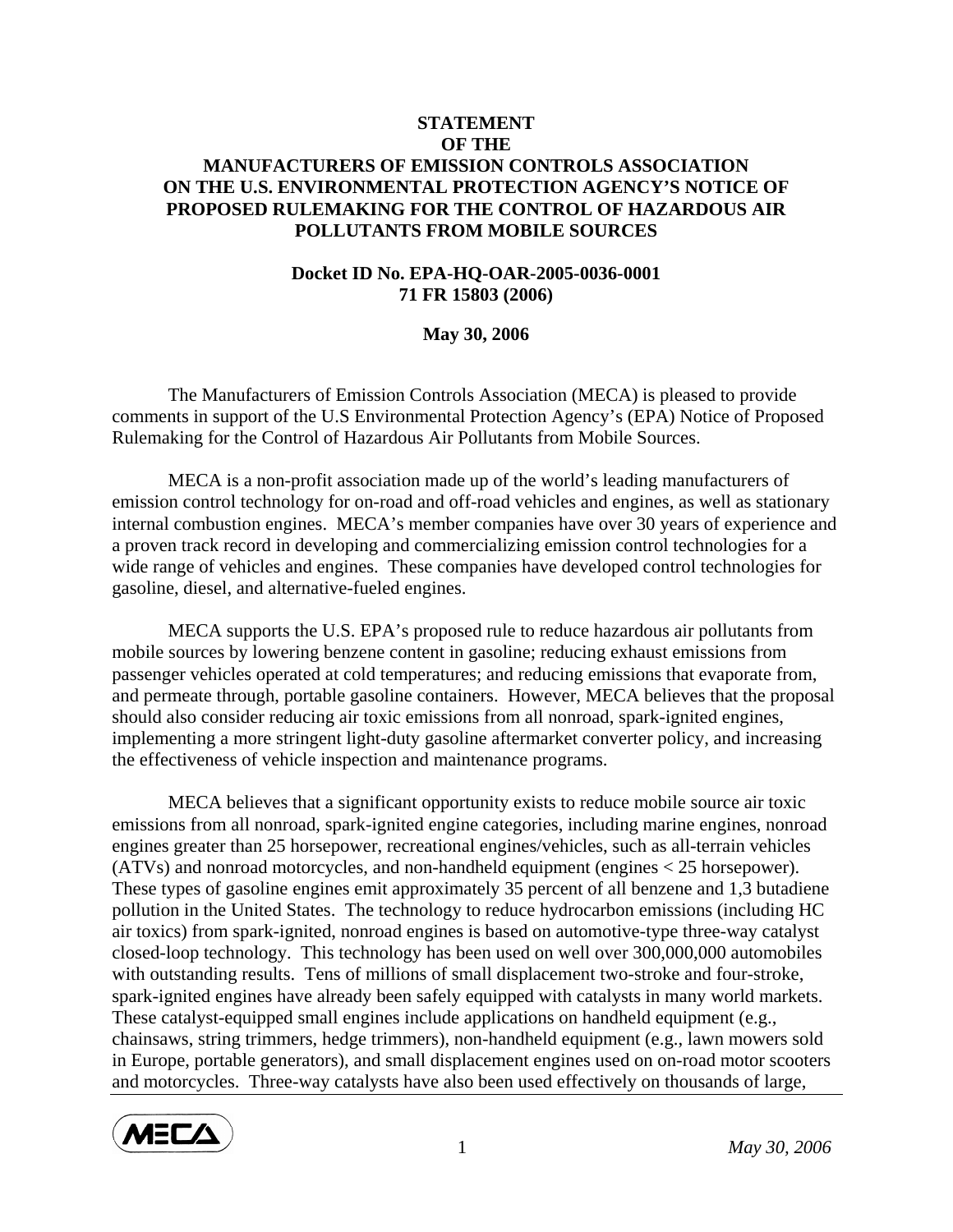## **STATEMENT OF THE MANUFACTURERS OF EMISSION CONTROLS ASSOCIATION ON THE U.S. ENVIRONMENTAL PROTECTION AGENCY'S NOTICE OF PROPOSED RULEMAKING FOR THE CONTROL OF HAZARDOUS AIR POLLUTANTS FROM MOBILE SOURCES**

## **Docket ID No. EPA-HQ-OAR-2005-0036-0001 71 FR 15803 (2006)**

## **May 30, 2006**

 The Manufacturers of Emission Controls Association (MECA) is pleased to provide comments in support of the U.S Environmental Protection Agency's (EPA) Notice of Proposed Rulemaking for the Control of Hazardous Air Pollutants from Mobile Sources.

MECA is a non-profit association made up of the world's leading manufacturers of emission control technology for on-road and off-road vehicles and engines, as well as stationary internal combustion engines. MECA's member companies have over 30 years of experience and a proven track record in developing and commercializing emission control technologies for a wide range of vehicles and engines. These companies have developed control technologies for gasoline, diesel, and alternative-fueled engines.

MECA supports the U.S. EPA's proposed rule to reduce hazardous air pollutants from mobile sources by lowering benzene content in gasoline; reducing exhaust emissions from passenger vehicles operated at cold temperatures; and reducing emissions that evaporate from, and permeate through, portable gasoline containers. However, MECA believes that the proposal should also consider reducing air toxic emissions from all nonroad, spark-ignited engines, implementing a more stringent light-duty gasoline aftermarket converter policy, and increasing the effectiveness of vehicle inspection and maintenance programs.

MECA believes that a significant opportunity exists to reduce mobile source air toxic emissions from all nonroad, spark-ignited engine categories, including marine engines, nonroad engines greater than 25 horsepower, recreational engines/vehicles, such as all-terrain vehicles (ATVs) and nonroad motorcycles, and non-handheld equipment (engines < 25 horsepower). These types of gasoline engines emit approximately 35 percent of all benzene and 1,3 butadiene pollution in the United States. The technology to reduce hydrocarbon emissions (including HC air toxics) from spark-ignited, nonroad engines is based on automotive-type three-way catalyst closed-loop technology. This technology has been used on well over 300,000,000 automobiles with outstanding results. Tens of millions of small displacement two-stroke and four-stroke, spark-ignited engines have already been safely equipped with catalysts in many world markets. These catalyst-equipped small engines include applications on handheld equipment (e.g., chainsaws, string trimmers, hedge trimmers), non-handheld equipment (e.g., lawn mowers sold in Europe, portable generators), and small displacement engines used on on-road motor scooters and motorcycles. Three-way catalysts have also been used effectively on thousands of large,

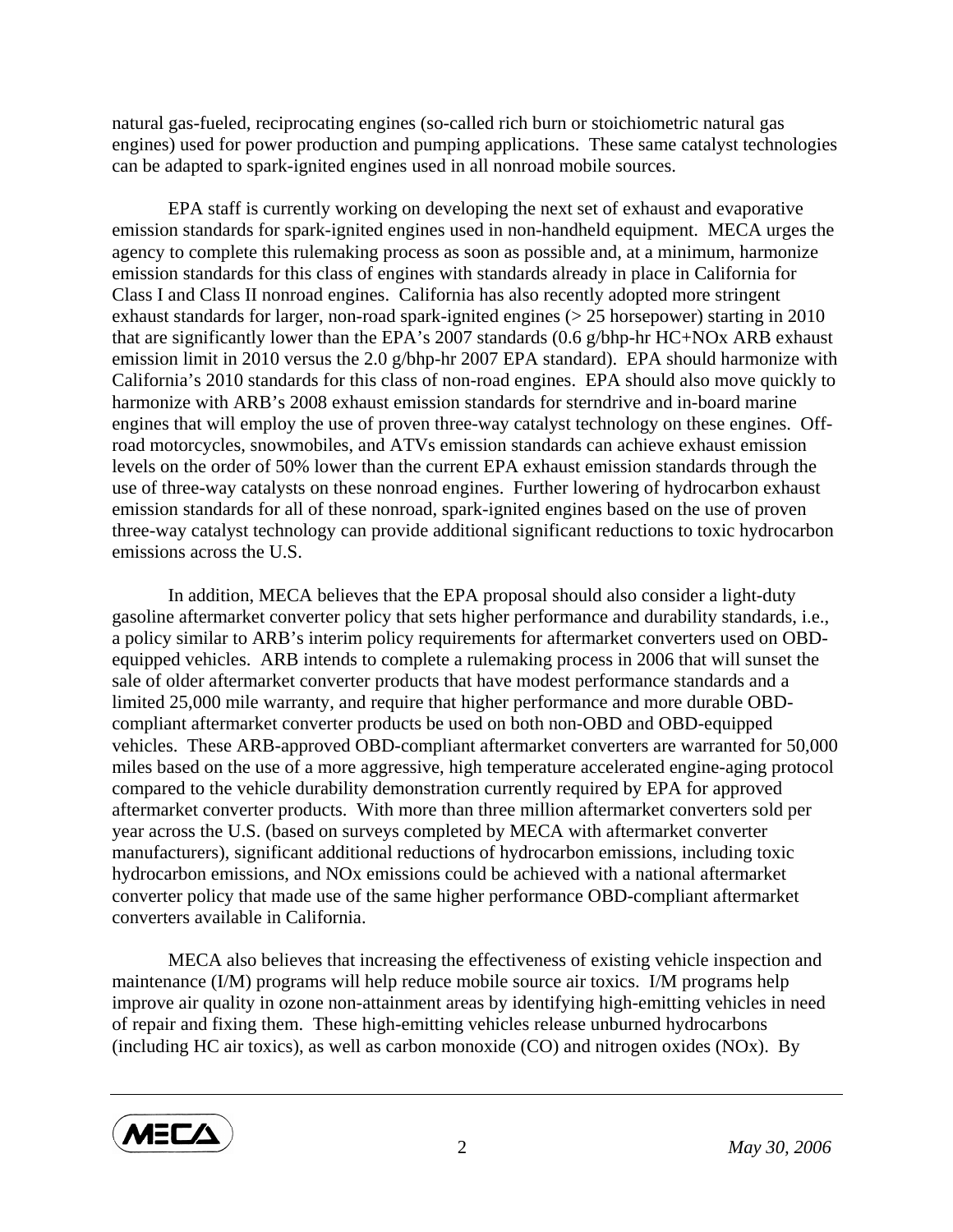natural gas-fueled, reciprocating engines (so-called rich burn or stoichiometric natural gas engines) used for power production and pumping applications. These same catalyst technologies can be adapted to spark-ignited engines used in all nonroad mobile sources.

EPA staff is currently working on developing the next set of exhaust and evaporative emission standards for spark-ignited engines used in non-handheld equipment. MECA urges the agency to complete this rulemaking process as soon as possible and, at a minimum, harmonize emission standards for this class of engines with standards already in place in California for Class I and Class II nonroad engines. California has also recently adopted more stringent exhaust standards for larger, non-road spark-ignited engines (> 25 horsepower) starting in 2010 that are significantly lower than the EPA's 2007 standards (0.6 g/bhp-hr HC+NOx ARB exhaust emission limit in 2010 versus the 2.0 g/bhp-hr 2007 EPA standard). EPA should harmonize with California's 2010 standards for this class of non-road engines. EPA should also move quickly to harmonize with ARB's 2008 exhaust emission standards for sterndrive and in-board marine engines that will employ the use of proven three-way catalyst technology on these engines. Offroad motorcycles, snowmobiles, and ATVs emission standards can achieve exhaust emission levels on the order of 50% lower than the current EPA exhaust emission standards through the use of three-way catalysts on these nonroad engines. Further lowering of hydrocarbon exhaust emission standards for all of these nonroad, spark-ignited engines based on the use of proven three-way catalyst technology can provide additional significant reductions to toxic hydrocarbon emissions across the U.S.

In addition, MECA believes that the EPA proposal should also consider a light-duty gasoline aftermarket converter policy that sets higher performance and durability standards, i.e., a policy similar to ARB's interim policy requirements for aftermarket converters used on OBDequipped vehicles. ARB intends to complete a rulemaking process in 2006 that will sunset the sale of older aftermarket converter products that have modest performance standards and a limited 25,000 mile warranty, and require that higher performance and more durable OBDcompliant aftermarket converter products be used on both non-OBD and OBD-equipped vehicles. These ARB-approved OBD-compliant aftermarket converters are warranted for 50,000 miles based on the use of a more aggressive, high temperature accelerated engine-aging protocol compared to the vehicle durability demonstration currently required by EPA for approved aftermarket converter products. With more than three million aftermarket converters sold per year across the U.S. (based on surveys completed by MECA with aftermarket converter manufacturers), significant additional reductions of hydrocarbon emissions, including toxic hydrocarbon emissions, and NOx emissions could be achieved with a national aftermarket converter policy that made use of the same higher performance OBD-compliant aftermarket converters available in California.

MECA also believes that increasing the effectiveness of existing vehicle inspection and maintenance (I/M) programs will help reduce mobile source air toxics. I/M programs help improve air quality in ozone non-attainment areas by identifying high-emitting vehicles in need of repair and fixing them. These high-emitting vehicles release unburned hydrocarbons (including HC air toxics), as well as carbon monoxide (CO) and nitrogen oxides (NOx). By